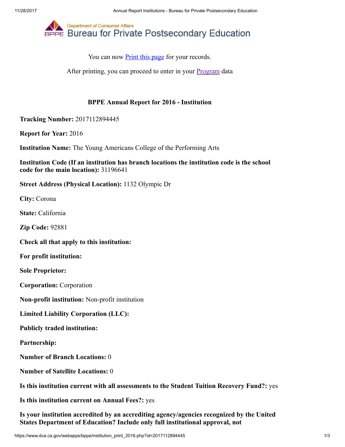

After printing, you can proceed to enter in your **[Program](https://www.dca.ca.gov/webapps/bppe/report_programs_2016.php)** data

## BPPE Annual Report for 2016 - Institution

Tracking Number: 2017112894445

Report for Year: 2016

Institution Name: The Young Americans College of the Performing Arts

Institution Code (If an institution has branch locations the institution code is the school code for the main location): 31196641

Street Address (Physical Location): 1132 Olympic Dr

City: Corona

State: California

Zip Code: 92881

Check all that apply to this institution:

For profit institution:

Sole Proprietor:

Corporation: Corporation

Non-profit institution: Non-profit institution

Limited Liability Corporation (LLC):

Publicly traded institution:

Partnership:

Number of Branch Locations: 0

Number of Satellite Locations: 0

Is this institution current with all assessments to the Student Tuition Recovery Fund?: yes

Is this institution current on Annual Fees?: yes

Is your institution accredited by an accrediting agency/agencies recognized by the United States Department of Education? Include only full institutional approval, not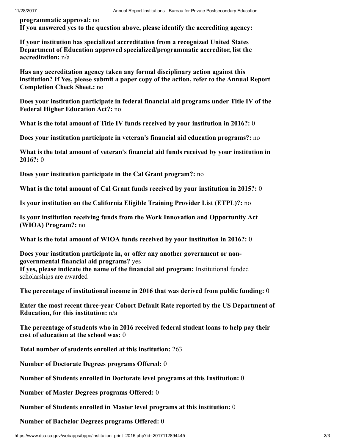programmatic approval: no If you answered yes to the question above, please identify the accrediting agency:

If your institution has specialized accreditation from a recognized United States Department of Education approved specialized/programmatic accreditor, list the accreditation: n/a

Has any accreditation agency taken any formal disciplinary action against this institution? If Yes, please submit a paper copy of the action, refer to the Annual Report Completion Check Sheet.: no

Does your institution participate in federal financial aid programs under Title IV of the Federal Higher Education Act?: no

What is the total amount of Title IV funds received by your institution in 2016?: 0

Does your institution participate in veteran's financial aid education programs?: no

What is the total amount of veteran's financial aid funds received by your institution in 2016?: 0

Does your institution participate in the Cal Grant program?: no

What is the total amount of Cal Grant funds received by your institution in 2015?: 0

Is your institution on the California Eligible Training Provider List (ETPL)?: no

Is your institution receiving funds from the Work Innovation and Opportunity Act (WIOA) Program?: no

What is the total amount of WIOA funds received by your institution in 2016?: 0

Does your institution participate in, or offer any another government or nongovernmental financial aid programs? yes If yes, please indicate the name of the financial aid program: Institutional funded scholarships are awarded

The percentage of institutional income in 2016 that was derived from public funding: 0

Enter the most recent three-year Cohort Default Rate reported by the US Department of Education, for this institution: n/a

The percentage of students who in 2016 received federal student loans to help pay their cost of education at the school was: 0

Total number of students enrolled at this institution: 263

Number of Doctorate Degrees programs Offered: 0

Number of Students enrolled in Doctorate level programs at this Institution: 0

Number of Master Degrees programs Offered: 0

Number of Students enrolled in Master level programs at this institution: 0

Number of Bachelor Degrees programs Offered: 0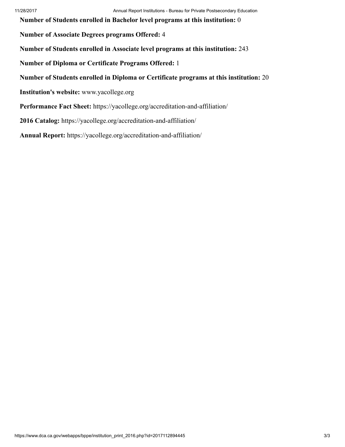Number of Students enrolled in Bachelor level programs at this institution: 0

Number of Associate Degrees programs Offered: 4

Number of Students enrolled in Associate level programs at this institution: 243

Number of Diploma or Certificate Programs Offered: 1

Number of Students enrolled in Diploma or Certificate programs at this institution: 20

Institution's website: www.yacollege.org

Performance Fact Sheet: https://yacollege.org/accreditation-and-affiliation/

2016 Catalog: https://yacollege.org/accreditation-and-affiliation/

Annual Report: https://yacollege.org/accreditation-and-affiliation/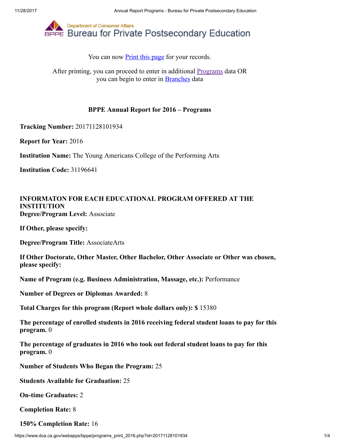

After printing, you can proceed to enter in additional **Programs** data OR you can begin to enter in [Branches](https://www.dca.ca.gov/webapps/bppe/report_branches_2016.php) data

### BPPE Annual Report for 2016 – Programs

Tracking Number: 20171128101934

Report for Year: 2016

Institution Name: The Young Americans College of the Performing Arts

Institution Code: 31196641

### INFORMATON FOR EACH EDUCATIONAL PROGRAM OFFERED AT THE INSTITUTION Degree/Program Level: Associate

If Other, please specify:

Degree/Program Title: AssociateArts

If Other Doctorate, Other Master, Other Bachelor, Other Associate or Other was chosen, please specify:

Name of Program (e.g. Business Administration, Massage, etc.): Performance

Number of Degrees or Diplomas Awarded: 8

Total Charges for this program (Report whole dollars only): \$ 15380

The percentage of enrolled students in 2016 receiving federal student loans to pay for this program. 0

The percentage of graduates in 2016 who took out federal student loans to pay for this program. 0

Number of Students Who Began the Program: 25

Students Available for Graduation: 25

On-time Graduates: 2

Completion Rate: 8

150% Completion Rate: 16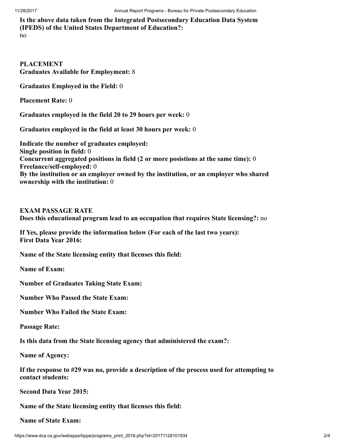Is the above data taken from the Integrated Postsecondary Education Data System (IPEDS) of the United States Department of Education?:

no

PLACEMENT Graduates Available for Employment: 8

Graduates Employed in the Field: 0

Placement Rate: 0

Graduates employed in the field 20 to 29 hours per week: 0

Graduates employed in the field at least 30 hours per week: 0

Indicate the number of graduates employed: Single position in field: 0 Concurrent aggregated positions in field (2 or more posistions at the same time): 0 Freelance/self-employed: 0 By the institution or an employer owned by the institution, or an employer who shared ownership with the institution: 0

EXAM PASSAGE RATE

Does this educational program lead to an occupation that requires State licensing?: no

If Yes, please provide the information below (For each of the last two years): First Data Year 2016:

Name of the State licensing entity that licenses this field:

Name of Exam:

Number of Graduates Taking State Exam:

Number Who Passed the State Exam:

Number Who Failed the State Exam:

Passage Rate:

Is this data from the State licensing agency that administered the exam?:

Name of Agency:

If the response to #29 was no, provide a description of the process used for attempting to contact students:

Second Data Year 2015:

Name of the State licensing entity that licenses this field:

Name of State Exam: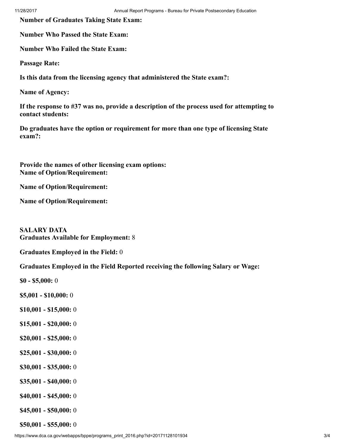Number of Graduates Taking State Exam:

Number Who Passed the State Exam:

Number Who Failed the State Exam:

Passage Rate:

Is this data from the licensing agency that administered the State exam?:

Name of Agency:

If the response to #37 was no, provide a description of the process used for attempting to contact students:

Do graduates have the option or requirement for more than one type of licensing State exam?:

Provide the names of other licensing exam options: Name of Option/Requirement:

Name of Option/Requirement:

Name of Option/Requirement:

SALARY DATA Graduates Available for Employment: 8

Graduates Employed in the Field: 0

Graduates Employed in the Field Reported receiving the following Salary or Wage:

\$0 - \$5,000: 0

\$5,001 - \$10,000: 0

- \$10,001 \$15,000: 0
- \$15,001 \$20,000: 0
- \$20,001 \$25,000: 0
- \$25,001 \$30,000: 0
- \$30,001 \$35,000: 0
- \$35,001 \$40,000: 0
- \$40,001 \$45,000: 0
- \$45,001 \$50,000: 0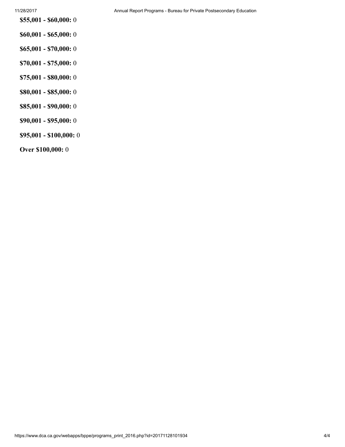\$55,001 - \$60,000: 0

- \$60,001 \$65,000: 0
- \$65,001 \$70,000: 0
- \$70,001 \$75,000: 0
- \$75,001 \$80,000: 0
- \$80,001 \$85,000: 0
- \$85,001 \$90,000: 0
- \$90,001 \$95,000: 0
- \$95,001 \$100,000: 0

Over \$100,000: 0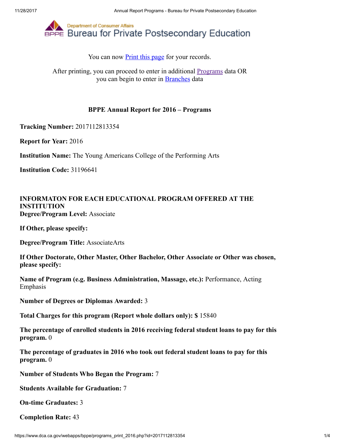

After printing, you can proceed to enter in additional **Programs** data OR you can begin to enter in [Branches](https://www.dca.ca.gov/webapps/bppe/report_branches_2016.php) data

### BPPE Annual Report for 2016 – Programs

Tracking Number: 2017112813354

Report for Year: 2016

Institution Name: The Young Americans College of the Performing Arts

Institution Code: 31196641

## INFORMATON FOR EACH EDUCATIONAL PROGRAM OFFERED AT THE INSTITUTION Degree/Program Level: Associate

If Other, please specify:

Degree/Program Title: AssociateArts

If Other Doctorate, Other Master, Other Bachelor, Other Associate or Other was chosen, please specify:

Name of Program (e.g. Business Administration, Massage, etc.): Performance, Acting Emphasis

Number of Degrees or Diplomas Awarded: 3

Total Charges for this program (Report whole dollars only): \$ 15840

The percentage of enrolled students in 2016 receiving federal student loans to pay for this program. 0

The percentage of graduates in 2016 who took out federal student loans to pay for this program. 0

Number of Students Who Began the Program: 7

Students Available for Graduation: 7

On-time Graduates: 3

Completion Rate: 43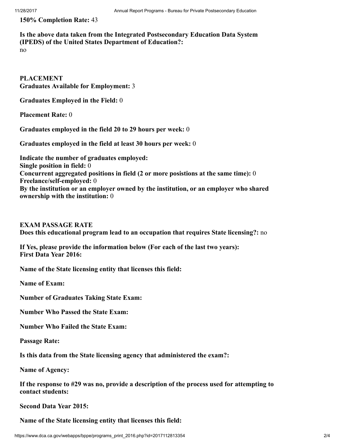150% Completion Rate: 43

# Is the above data taken from the Integrated Postsecondary Education Data System (IPEDS) of the United States Department of Education?:

no

PLACEMENT Graduates Available for Employment: 3

Graduates Employed in the Field: 0

Placement Rate: 0

Graduates employed in the field 20 to 29 hours per week: 0

Graduates employed in the field at least 30 hours per week: 0

Indicate the number of graduates employed: Single position in field: 0 Concurrent aggregated positions in field (2 or more posistions at the same time): 0 Freelance/self-employed: 0 By the institution or an employer owned by the institution, or an employer who shared ownership with the institution: 0

EXAM PASSAGE RATE Does this educational program lead to an occupation that requires State licensing?: no

If Yes, please provide the information below (For each of the last two years): First Data Year 2016:

Name of the State licensing entity that licenses this field:

Name of Exam:

Number of Graduates Taking State Exam:

Number Who Passed the State Exam:

Number Who Failed the State Exam:

Passage Rate:

Is this data from the State licensing agency that administered the exam?:

Name of Agency:

If the response to #29 was no, provide a description of the process used for attempting to contact students:

Second Data Year 2015:

Name of the State licensing entity that licenses this field: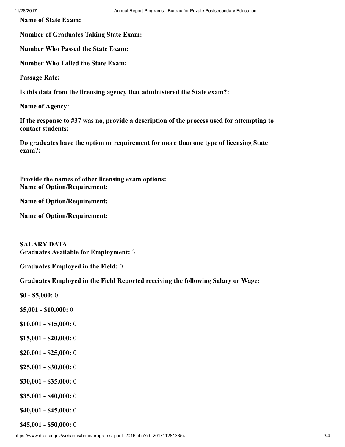Name of State Exam:

Number of Graduates Taking State Exam:

Number Who Passed the State Exam:

Number Who Failed the State Exam:

Passage Rate:

Is this data from the licensing agency that administered the State exam?:

Name of Agency:

If the response to #37 was no, provide a description of the process used for attempting to contact students:

Do graduates have the option or requirement for more than one type of licensing State exam?:

Provide the names of other licensing exam options: Name of Option/Requirement:

Name of Option/Requirement:

Name of Option/Requirement:

SALARY DATA Graduates Available for Employment: 3

Graduates Employed in the Field: 0

Graduates Employed in the Field Reported receiving the following Salary or Wage:

\$0 - \$5,000: 0

- \$5,001 \$10,000: 0
- \$10,001 \$15,000: 0
- \$15,001 \$20,000: 0
- \$20,001 \$25,000: 0
- \$25,001 \$30,000: 0
- \$30,001 \$35,000: 0
- \$35,001 \$40,000: 0
- \$40,001 \$45,000: 0

\$45,001 - \$50,000: 0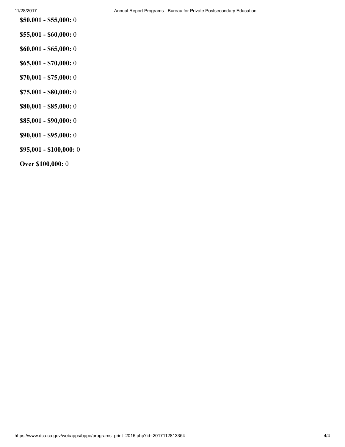- \$55,001 \$60,000: 0
- \$60,001 \$65,000: 0
- \$65,001 \$70,000: 0
- \$70,001 \$75,000: 0
- \$75,001 \$80,000: 0
- \$80,001 \$85,000: 0
- \$85,001 \$90,000: 0
- \$90,001 \$95,000: 0
- \$95,001 \$100,000: 0
- Over \$100,000: 0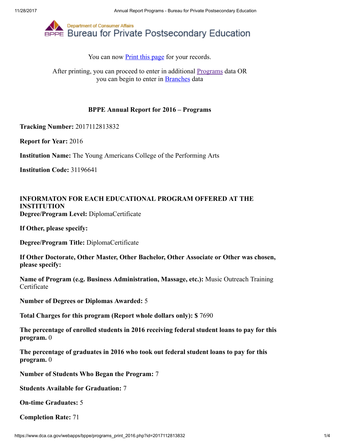

After printing, you can proceed to enter in additional **Programs** data OR you can begin to enter in [Branches](https://www.dca.ca.gov/webapps/bppe/report_branches_2016.php) data

### BPPE Annual Report for 2016 – Programs

Tracking Number: 2017112813832

Report for Year: 2016

Institution Name: The Young Americans College of the Performing Arts

Institution Code: 31196641

## INFORMATON FOR EACH EDUCATIONAL PROGRAM OFFERED AT THE INSTITUTION Degree/Program Level: DiplomaCertificate

If Other, please specify:

Degree/Program Title: DiplomaCertificate

If Other Doctorate, Other Master, Other Bachelor, Other Associate or Other was chosen, please specify:

Name of Program (e.g. Business Administration, Massage, etc.): Music Outreach Training **Certificate** 

Number of Degrees or Diplomas Awarded: 5

Total Charges for this program (Report whole dollars only): \$ 7690

The percentage of enrolled students in 2016 receiving federal student loans to pay for this program. 0

The percentage of graduates in 2016 who took out federal student loans to pay for this program. 0

Number of Students Who Began the Program: 7

Students Available for Graduation: 7

On-time Graduates: 5

Completion Rate: 71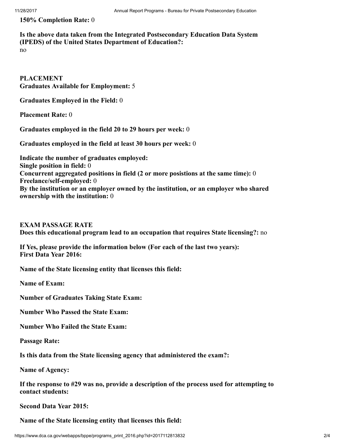150% Completion Rate: 0

# Is the above data taken from the Integrated Postsecondary Education Data System (IPEDS) of the United States Department of Education?:

no

PLACEMENT Graduates Available for Employment: 5

Graduates Employed in the Field: 0

Placement Rate: 0

Graduates employed in the field 20 to 29 hours per week: 0

Graduates employed in the field at least 30 hours per week: 0

Indicate the number of graduates employed: Single position in field: 0 Concurrent aggregated positions in field (2 or more posistions at the same time): 0 Freelance/self-employed: 0 By the institution or an employer owned by the institution, or an employer who shared ownership with the institution: 0

EXAM PASSAGE RATE Does this educational program lead to an occupation that requires State licensing?: no

If Yes, please provide the information below (For each of the last two years): First Data Year 2016:

Name of the State licensing entity that licenses this field:

Name of Exam:

Number of Graduates Taking State Exam:

Number Who Passed the State Exam:

Number Who Failed the State Exam:

Passage Rate:

Is this data from the State licensing agency that administered the exam?:

Name of Agency:

If the response to #29 was no, provide a description of the process used for attempting to contact students:

Second Data Year 2015:

Name of the State licensing entity that licenses this field: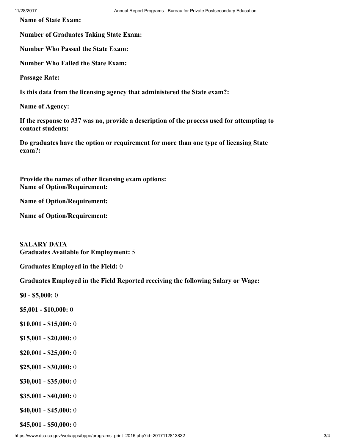Name of State Exam:

Number of Graduates Taking State Exam:

Number Who Passed the State Exam:

Number Who Failed the State Exam:

Passage Rate:

Is this data from the licensing agency that administered the State exam?:

Name of Agency:

If the response to #37 was no, provide a description of the process used for attempting to contact students:

Do graduates have the option or requirement for more than one type of licensing State exam?:

Provide the names of other licensing exam options: Name of Option/Requirement:

Name of Option/Requirement:

Name of Option/Requirement:

SALARY DATA Graduates Available for Employment: 5

Graduates Employed in the Field: 0

Graduates Employed in the Field Reported receiving the following Salary or Wage:

\$0 - \$5,000: 0

- \$5,001 \$10,000: 0
- \$10,001 \$15,000: 0
- \$15,001 \$20,000: 0
- \$20,001 \$25,000: 0
- \$25,001 \$30,000: 0
- \$30,001 \$35,000: 0
- \$35,001 \$40,000: 0
- \$40,001 \$45,000: 0

\$45,001 - \$50,000: 0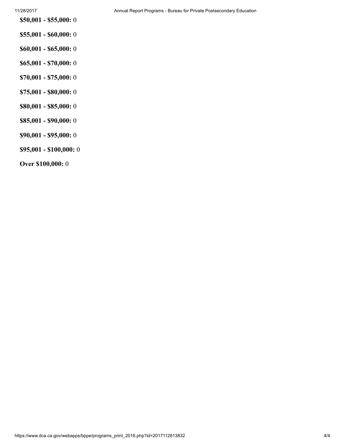- \$55,001 \$60,000: 0
- \$60,001 \$65,000: 0
- \$65,001 \$70,000: 0
- \$70,001 \$75,000: 0
- \$75,001 \$80,000: 0
- \$80,001 \$85,000: 0
- \$85,001 \$90,000: 0
- \$90,001 \$95,000: 0
- \$95,001 \$100,000: 0
- Over \$100,000: 0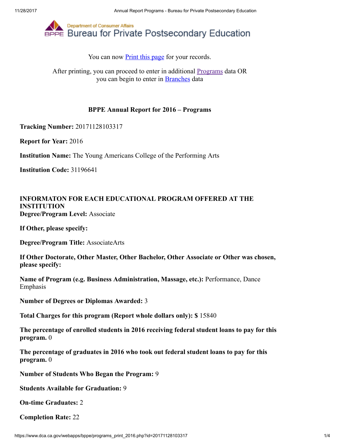

After printing, you can proceed to enter in additional **Programs** data OR you can begin to enter in [Branches](https://www.dca.ca.gov/webapps/bppe/report_branches_2016.php) data

### BPPE Annual Report for 2016 – Programs

Tracking Number: 20171128103317

Report for Year: 2016

Institution Name: The Young Americans College of the Performing Arts

Institution Code: 31196641

## INFORMATON FOR EACH EDUCATIONAL PROGRAM OFFERED AT THE INSTITUTION Degree/Program Level: Associate

If Other, please specify:

Degree/Program Title: AssociateArts

If Other Doctorate, Other Master, Other Bachelor, Other Associate or Other was chosen, please specify:

Name of Program (e.g. Business Administration, Massage, etc.): Performance, Dance Emphasis

Number of Degrees or Diplomas Awarded: 3

Total Charges for this program (Report whole dollars only): \$ 15840

The percentage of enrolled students in 2016 receiving federal student loans to pay for this program. 0

The percentage of graduates in 2016 who took out federal student loans to pay for this program. 0

Number of Students Who Began the Program: 9

Students Available for Graduation: 9

On-time Graduates: 2

Completion Rate: 22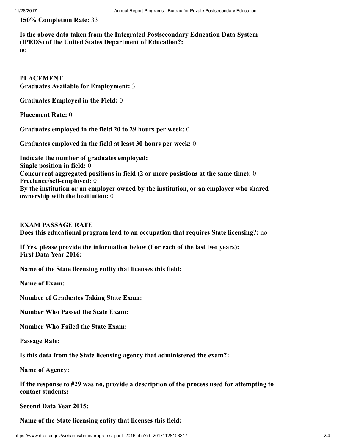150% Completion Rate: 33

# Is the above data taken from the Integrated Postsecondary Education Data System (IPEDS) of the United States Department of Education?:

no

PLACEMENT Graduates Available for Employment: 3

Graduates Employed in the Field: 0

Placement Rate: 0

Graduates employed in the field 20 to 29 hours per week: 0

Graduates employed in the field at least 30 hours per week: 0

Indicate the number of graduates employed: Single position in field: 0 Concurrent aggregated positions in field (2 or more posistions at the same time): 0 Freelance/self-employed: 0 By the institution or an employer owned by the institution, or an employer who shared ownership with the institution: 0

EXAM PASSAGE RATE Does this educational program lead to an occupation that requires State licensing?: no

If Yes, please provide the information below (For each of the last two years): First Data Year 2016:

Name of the State licensing entity that licenses this field:

Name of Exam:

Number of Graduates Taking State Exam:

Number Who Passed the State Exam:

Number Who Failed the State Exam:

Passage Rate:

Is this data from the State licensing agency that administered the exam?:

Name of Agency:

If the response to #29 was no, provide a description of the process used for attempting to contact students:

Second Data Year 2015:

Name of the State licensing entity that licenses this field: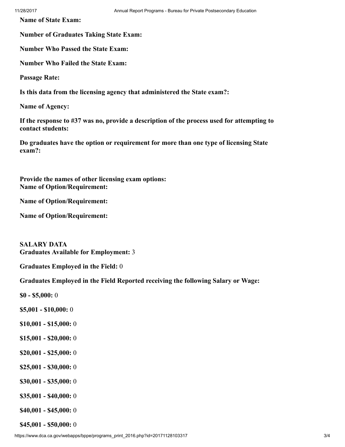Name of State Exam:

Number of Graduates Taking State Exam:

Number Who Passed the State Exam:

Number Who Failed the State Exam:

Passage Rate:

Is this data from the licensing agency that administered the State exam?:

Name of Agency:

If the response to #37 was no, provide a description of the process used for attempting to contact students:

Do graduates have the option or requirement for more than one type of licensing State exam?:

Provide the names of other licensing exam options: Name of Option/Requirement:

Name of Option/Requirement:

Name of Option/Requirement:

SALARY DATA Graduates Available for Employment: 3

Graduates Employed in the Field: 0

Graduates Employed in the Field Reported receiving the following Salary or Wage:

\$0 - \$5,000: 0

- \$5,001 \$10,000: 0
- \$10,001 \$15,000: 0
- \$15,001 \$20,000: 0
- \$20,001 \$25,000: 0
- \$25,001 \$30,000: 0
- \$30,001 \$35,000: 0
- \$35,001 \$40,000: 0
- \$40,001 \$45,000: 0

\$45,001 - \$50,000: 0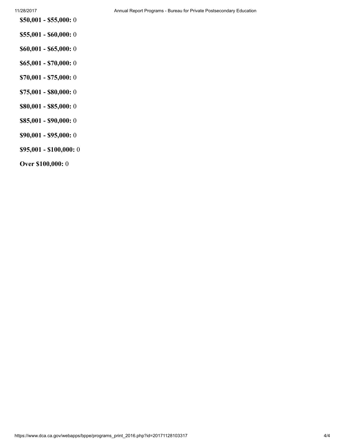- \$55,001 \$60,000: 0
- \$60,001 \$65,000: 0
- \$65,001 \$70,000: 0
- \$70,001 \$75,000: 0
- \$75,001 \$80,000: 0
- \$80,001 \$85,000: 0
- \$85,001 \$90,000: 0
- \$90,001 \$95,000: 0
- \$95,001 \$100,000: 0
- Over \$100,000: 0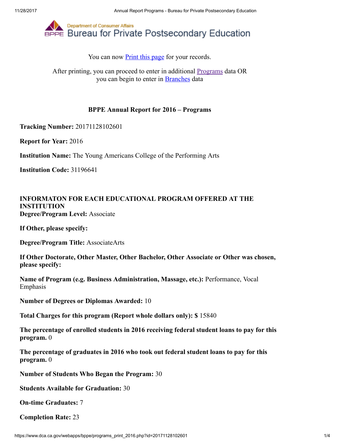

After printing, you can proceed to enter in additional **Programs** data OR you can begin to enter in [Branches](https://www.dca.ca.gov/webapps/bppe/report_branches_2016.php) data

### BPPE Annual Report for 2016 – Programs

Tracking Number: 20171128102601

Report for Year: 2016

Institution Name: The Young Americans College of the Performing Arts

Institution Code: 31196641

## INFORMATON FOR EACH EDUCATIONAL PROGRAM OFFERED AT THE INSTITUTION Degree/Program Level: Associate

If Other, please specify:

Degree/Program Title: AssociateArts

If Other Doctorate, Other Master, Other Bachelor, Other Associate or Other was chosen, please specify:

Name of Program (e.g. Business Administration, Massage, etc.): Performance, Vocal Emphasis

Number of Degrees or Diplomas Awarded: 10

Total Charges for this program (Report whole dollars only): \$ 15840

The percentage of enrolled students in 2016 receiving federal student loans to pay for this program. 0

The percentage of graduates in 2016 who took out federal student loans to pay for this program. 0

Number of Students Who Began the Program: 30

Students Available for Graduation: 30

On-time Graduates: 7

Completion Rate: 23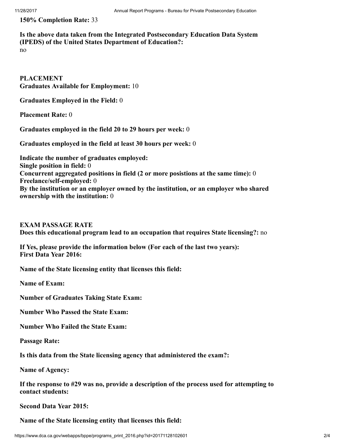150% Completion Rate: 33

## Is the above data taken from the Integrated Postsecondary Education Data System (IPEDS) of the United States Department of Education?:

no

PLACEMENT Graduates Available for Employment: 10

Graduates Employed in the Field: 0

Placement Rate: 0

Graduates employed in the field 20 to 29 hours per week: 0

Graduates employed in the field at least 30 hours per week: 0

Indicate the number of graduates employed: Single position in field: 0 Concurrent aggregated positions in field (2 or more posistions at the same time): 0 Freelance/self-employed: 0 By the institution or an employer owned by the institution, or an employer who shared ownership with the institution: 0

EXAM PASSAGE RATE Does this educational program lead to an occupation that requires State licensing?: no

If Yes, please provide the information below (For each of the last two years): First Data Year 2016:

Name of the State licensing entity that licenses this field:

Name of Exam:

Number of Graduates Taking State Exam:

Number Who Passed the State Exam:

Number Who Failed the State Exam:

Passage Rate:

Is this data from the State licensing agency that administered the exam?:

Name of Agency:

If the response to #29 was no, provide a description of the process used for attempting to contact students:

Second Data Year 2015:

Name of the State licensing entity that licenses this field: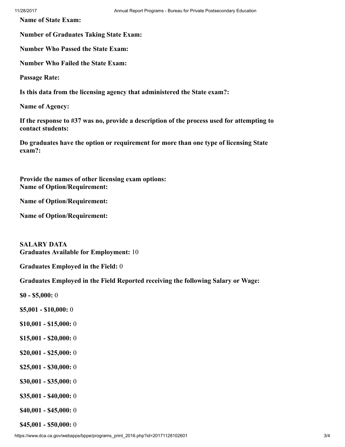Name of State Exam:

Number of Graduates Taking State Exam:

Number Who Passed the State Exam:

Number Who Failed the State Exam:

Passage Rate:

Is this data from the licensing agency that administered the State exam?:

Name of Agency:

If the response to #37 was no, provide a description of the process used for attempting to contact students:

Do graduates have the option or requirement for more than one type of licensing State exam?:

Provide the names of other licensing exam options: Name of Option/Requirement:

Name of Option/Requirement:

Name of Option/Requirement:

SALARY DATA Graduates Available for Employment: 10

Graduates Employed in the Field: 0

Graduates Employed in the Field Reported receiving the following Salary or Wage:

\$0 - \$5,000: 0

- \$5,001 \$10,000: 0
- \$10,001 \$15,000: 0
- \$15,001 \$20,000: 0
- \$20,001 \$25,000: 0
- \$25,001 \$30,000: 0
- \$30,001 \$35,000: 0
- \$35,001 \$40,000: 0
- \$40,001 \$45,000: 0

\$45,001 - \$50,000: 0